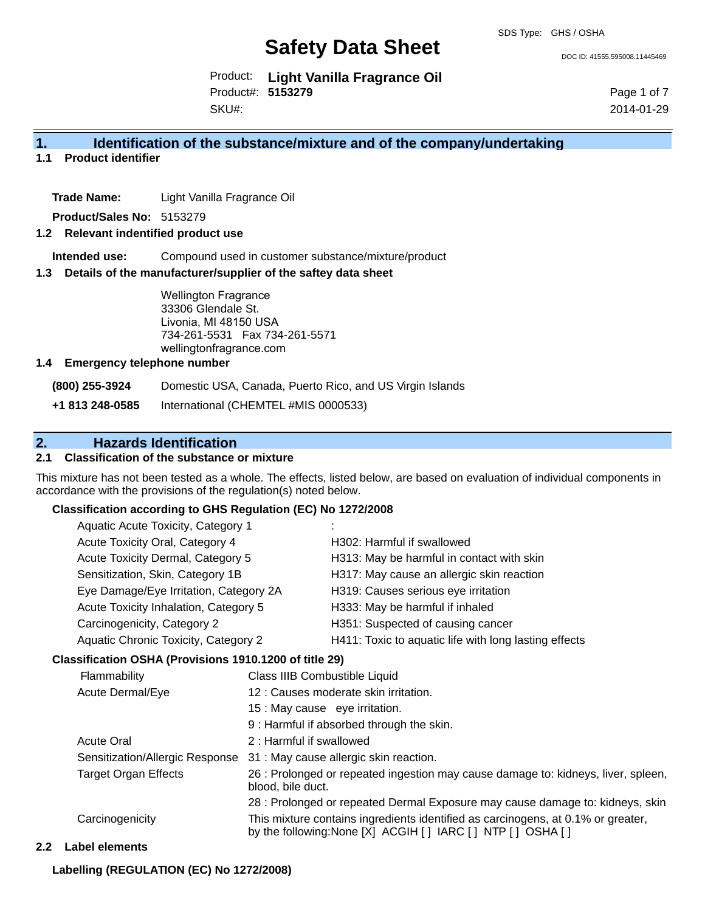DOC ID: 41555.595008.11445469

Product: **Light Vanilla Fragrance Oil** Product#: **5153279** SKU#:

Page 1 of 7 2014-01-29

## **1. Identification of the substance/mixture and of the company/undertaking**

**1.1 Product identifier**

**Trade Name:** Light Vanilla Fragrance Oil

**Product/Sales No:** 5153279

## **1.2 Relevant indentified product use**

**Intended use:** Compound used in customer substance/mixture/product

#### **1.3 Details of the manufacturer/supplier of the saftey data sheet**

Wellington Fragrance 33306 Glendale St. Livonia, MI 48150 USA 734-261-5531 Fax 734-261-5571 wellingtonfragrance.com

## **1.4 Emergency telephone number**

**(800) 255-3924** Domestic USA, Canada, Puerto Rico, and US Virgin Islands

**+1 813 248-0585** International (CHEMTEL #MIS 0000533)

## **2. Hazards Identification**

## **2.1 Classification of the substance or mixture**

This mixture has not been tested as a whole. The effects, listed below, are based on evaluation of individual components in accordance with the provisions of the regulation(s) noted below.

## **Classification according to GHS Regulation (EC) No 1272/2008**

| Aquatic Acute Toxicity, Category 1          |                                                       |
|---------------------------------------------|-------------------------------------------------------|
| Acute Toxicity Oral, Category 4             | H302: Harmful if swallowed                            |
| Acute Toxicity Dermal, Category 5           | H313: May be harmful in contact with skin             |
| Sensitization, Skin, Category 1B            | H317: May cause an allergic skin reaction             |
| Eye Damage/Eye Irritation, Category 2A      | H319: Causes serious eye irritation                   |
| Acute Toxicity Inhalation, Category 5       | H333: May be harmful if inhaled                       |
| Carcinogenicity, Category 2                 | H351: Suspected of causing cancer                     |
| <b>Aquatic Chronic Toxicity, Category 2</b> | H411: Toxic to aquatic life with long lasting effects |
|                                             |                                                       |

#### **Classification OSHA (Provisions 1910.1200 of title 29)**

| Flammability                    | Class IIIB Combustible Liquid                                                                                                                  |
|---------------------------------|------------------------------------------------------------------------------------------------------------------------------------------------|
| Acute Dermal/Eye                | 12 : Causes moderate skin irritation.                                                                                                          |
|                                 | 15 : May cause eye irritation.                                                                                                                 |
|                                 | 9: Harmful if absorbed through the skin.                                                                                                       |
| <b>Acute Oral</b>               | 2: Harmful if swallowed                                                                                                                        |
| Sensitization/Allergic Response | 31 : May cause allergic skin reaction.                                                                                                         |
| <b>Target Organ Effects</b>     | 26 : Prolonged or repeated ingestion may cause damage to: kidneys, liver, spleen,<br>blood, bile duct.                                         |
|                                 | 28 : Prolonged or repeated Dermal Exposure may cause damage to: kidneys, skin                                                                  |
| Carcinogenicity                 | This mixture contains ingredients identified as carcinogens, at 0.1% or greater,<br>by the following: None [X] ACGIH [] IARC [] NTP [] OSHA [] |

#### **2.2 Label elements**

**Labelling (REGULATION (EC) No 1272/2008)**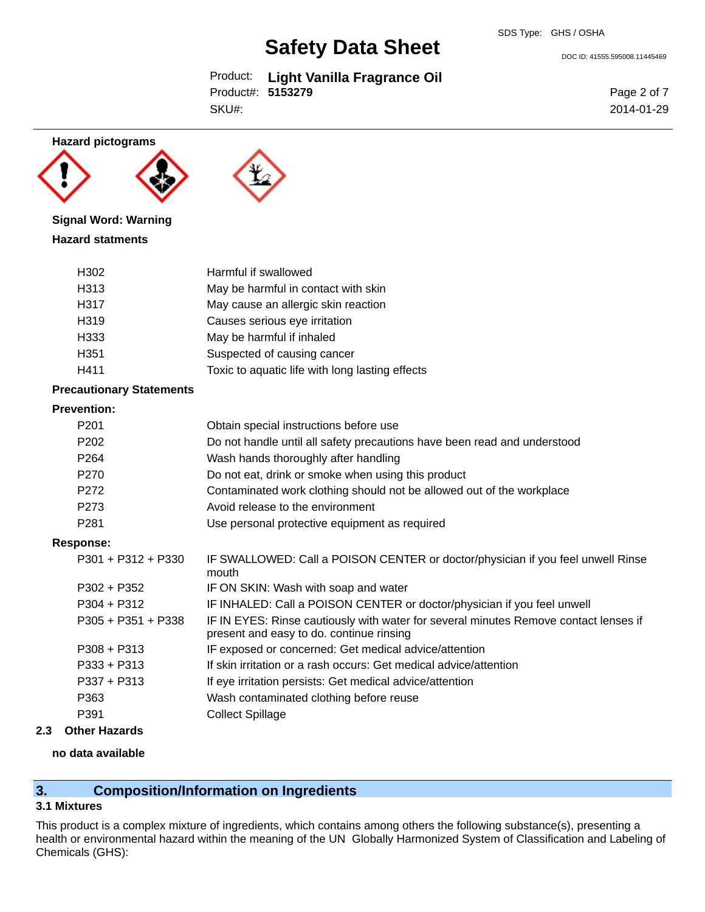Product: **Light Vanilla Fragrance Oil** SKU#: Product#: **5153279**

DOC ID: 41555.595008.11445469

Page 2 of 7 2014-01-29





## **Signal Word: Warning**

## **Hazard statments**

| H302             | Harmful if swallowed                            |
|------------------|-------------------------------------------------|
| H313             | May be harmful in contact with skin             |
| H317             | May cause an allergic skin reaction             |
| H319             | Causes serious eye irritation                   |
| H333             | May be harmful if inhaled                       |
| H <sub>351</sub> | Suspected of causing cancer                     |
| H411             | Toxic to aquatic life with long lasting effects |

## **Precautionary Statements**

## **Prevention:**

| г геуспиоп.          |                                                                                                                                  |
|----------------------|----------------------------------------------------------------------------------------------------------------------------------|
| P <sub>201</sub>     | Obtain special instructions before use                                                                                           |
| P <sub>202</sub>     | Do not handle until all safety precautions have been read and understood                                                         |
| P <sub>264</sub>     | Wash hands thoroughly after handling                                                                                             |
| P270                 | Do not eat, drink or smoke when using this product                                                                               |
| P272                 | Contaminated work clothing should not be allowed out of the workplace                                                            |
| P <sub>273</sub>     | Avoid release to the environment                                                                                                 |
| P <sub>281</sub>     | Use personal protective equipment as required                                                                                    |
| Response:            |                                                                                                                                  |
| $P301 + P312 + P330$ | IF SWALLOWED: Call a POISON CENTER or doctor/physician if you feel unwell Rinse<br>mouth                                         |
| $P302 + P352$        | IF ON SKIN: Wash with soap and water                                                                                             |
| $P304 + P312$        | IF INHALED: Call a POISON CENTER or doctor/physician if you feel unwell                                                          |
| $P305 + P351 + P338$ | IF IN EYES: Rinse cautiously with water for several minutes Remove contact lenses if<br>present and easy to do. continue rinsing |
| $P308 + P313$        | IF exposed or concerned: Get medical advice/attention                                                                            |
| $P333 + P313$        | If skin irritation or a rash occurs: Get medical advice/attention                                                                |
| $P337 + P313$        | If eye irritation persists: Get medical advice/attention                                                                         |
| P363                 | Wash contaminated clothing before reuse                                                                                          |
| P391                 | <b>Collect Spillage</b>                                                                                                          |
|                      |                                                                                                                                  |

## **2.3 Other Hazards**

## **no data available**

## **3. Composition/Information on Ingredients**

## **3.1 Mixtures**

This product is a complex mixture of ingredients, which contains among others the following substance(s), presenting a health or environmental hazard within the meaning of the UN Globally Harmonized System of Classification and Labeling of Chemicals (GHS):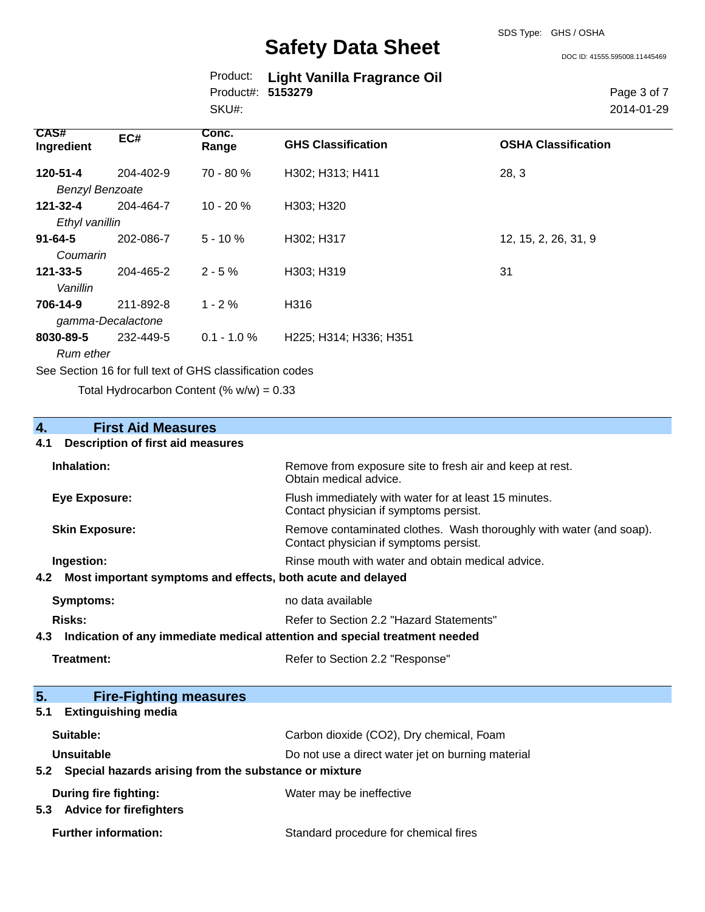|                   | Product: Light Vanilla Fragrance Oil |
|-------------------|--------------------------------------|
| Product#: 5153279 |                                      |
| SKU#:             |                                      |

Page 3 of 7 2014-01-29

| <b>CAS#</b><br>Ingredient                                | EC#       | Conc.<br>Range | <b>GHS Classification</b> | <b>OSHA Classification</b> |
|----------------------------------------------------------|-----------|----------------|---------------------------|----------------------------|
| 120-51-4                                                 | 204-402-9 | 70 - 80 %      | H302; H313; H411          | 28, 3                      |
| <b>Benzyl Benzoate</b>                                   |           |                |                           |                            |
| 121-32-4                                                 | 204-464-7 | $10 - 20%$     | H303; H320                |                            |
| Ethyl vanillin                                           |           |                |                           |                            |
| $91 - 64 - 5$                                            | 202-086-7 | $5 - 10 \%$    | H302; H317                | 12, 15, 2, 26, 31, 9       |
| Coumarin                                                 |           |                |                           |                            |
| 121-33-5                                                 | 204-465-2 | $2 - 5%$       | H303; H319                | 31                         |
| Vanillin                                                 |           |                |                           |                            |
| 706-14-9                                                 | 211-892-8 | $1 - 2 \%$     | H316                      |                            |
| gamma-Decalactone                                        |           |                |                           |                            |
| 8030-89-5                                                | 232-449-5 | $0.1 - 1.0 \%$ | H225; H314; H336; H351    |                            |
| Rum ether                                                |           |                |                           |                            |
| See Section 16 for full text of GHS classification codes |           |                |                           |                            |

Total Hydrocarbon Content (%  $w/w$ ) = 0.33

## **4. First Aid Measures**

## **4.1 Description of first aid measures**

| Inhalation:                                                                       | Remove from exposure site to fresh air and keep at rest.<br>Obtain medical advice.                            |  |
|-----------------------------------------------------------------------------------|---------------------------------------------------------------------------------------------------------------|--|
| <b>Eye Exposure:</b>                                                              | Flush immediately with water for at least 15 minutes.<br>Contact physician if symptoms persist.               |  |
| <b>Skin Exposure:</b>                                                             | Remove contaminated clothes. Wash thoroughly with water (and soap).<br>Contact physician if symptoms persist. |  |
| Ingestion:                                                                        | Rinse mouth with water and obtain medical advice.                                                             |  |
| Most important symptoms and effects, both acute and delayed<br>4.2                |                                                                                                               |  |
| Symptoms:                                                                         | no data available                                                                                             |  |
| Risks:                                                                            | Refer to Section 2.2 "Hazard Statements"                                                                      |  |
| Indication of any immediate medical attention and special treatment needed<br>4.3 |                                                                                                               |  |
| <b>Treatment:</b>                                                                 | Refer to Section 2.2 "Response"                                                                               |  |
| 5.<br><b>Fire-Fighting measures</b>                                               |                                                                                                               |  |
| <b>Extinguishing media</b><br>5.1                                                 |                                                                                                               |  |
| Suitable:                                                                         | Carbon dioxide (CO2), Dry chemical, Foam                                                                      |  |
| <b>Unsuitable</b>                                                                 | Do not use a direct water jet on burning material                                                             |  |
| Special hazards arising from the substance or mixture<br>5.2                      |                                                                                                               |  |
| During fire fighting:                                                             | Water may be ineffective                                                                                      |  |

**Standard procedure for chemical fires** 

## **5.3 Advice for firefighters**

| <b>Further information:</b> |
|-----------------------------|
|-----------------------------|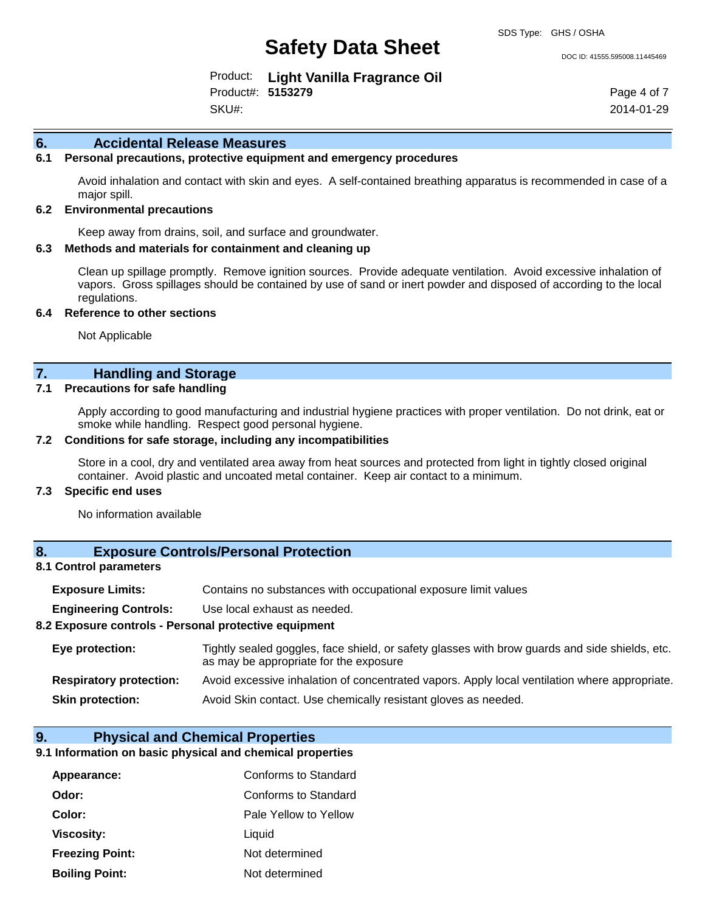SDS Type: GHS / OSHA

Product: **Light Vanilla Fragrance Oil** Product#: **5153279** SKU#:

Page 4 of 7 2014-01-29

## **6. Accidental Release Measures**

## **6.1 Personal precautions, protective equipment and emergency procedures**

Avoid inhalation and contact with skin and eyes. A self-contained breathing apparatus is recommended in case of a major spill.

## **6.2 Environmental precautions**

Keep away from drains, soil, and surface and groundwater.

## **6.3 Methods and materials for containment and cleaning up**

Clean up spillage promptly. Remove ignition sources. Provide adequate ventilation. Avoid excessive inhalation of vapors. Gross spillages should be contained by use of sand or inert powder and disposed of according to the local regulations.

#### **6.4 Reference to other sections**

Not Applicable

## **7. Handling and Storage**

## **7.1 Precautions for safe handling**

Apply according to good manufacturing and industrial hygiene practices with proper ventilation. Do not drink, eat or smoke while handling. Respect good personal hygiene.

## **7.2 Conditions for safe storage, including any incompatibilities**

Store in a cool, dry and ventilated area away from heat sources and protected from light in tightly closed original container. Avoid plastic and uncoated metal container. Keep air contact to a minimum.

## **7.3 Specific end uses**

No information available

## **8. Exposure Controls/Personal Protection**

## **8.1 Control parameters**

| <b>Exposure Limits:</b> | Contains no substances with occupational exposure limit values |
|-------------------------|----------------------------------------------------------------|
|                         |                                                                |

**Engineering Controls:** Use local exhaust as needed.

## **8.2 Exposure controls - Personal protective equipment**

| Eye protection:                | Tightly sealed goggles, face shield, or safety glasses with brow guards and side shields, etc.<br>as may be appropriate for the exposure |
|--------------------------------|------------------------------------------------------------------------------------------------------------------------------------------|
| <b>Respiratory protection:</b> | Avoid excessive inhalation of concentrated vapors. Apply local ventilation where appropriate.                                            |
| <b>Skin protection:</b>        | Avoid Skin contact. Use chemically resistant gloves as needed.                                                                           |

## **9. Physical and Chemical Properties**

## **9.1 Information on basic physical and chemical properties**

| Appearance:            | Conforms to Standard  |
|------------------------|-----------------------|
| Odor:                  | Conforms to Standard  |
| Color:                 | Pale Yellow to Yellow |
| <b>Viscosity:</b>      | Liquid                |
| <b>Freezing Point:</b> | Not determined        |
| <b>Boiling Point:</b>  | Not determined        |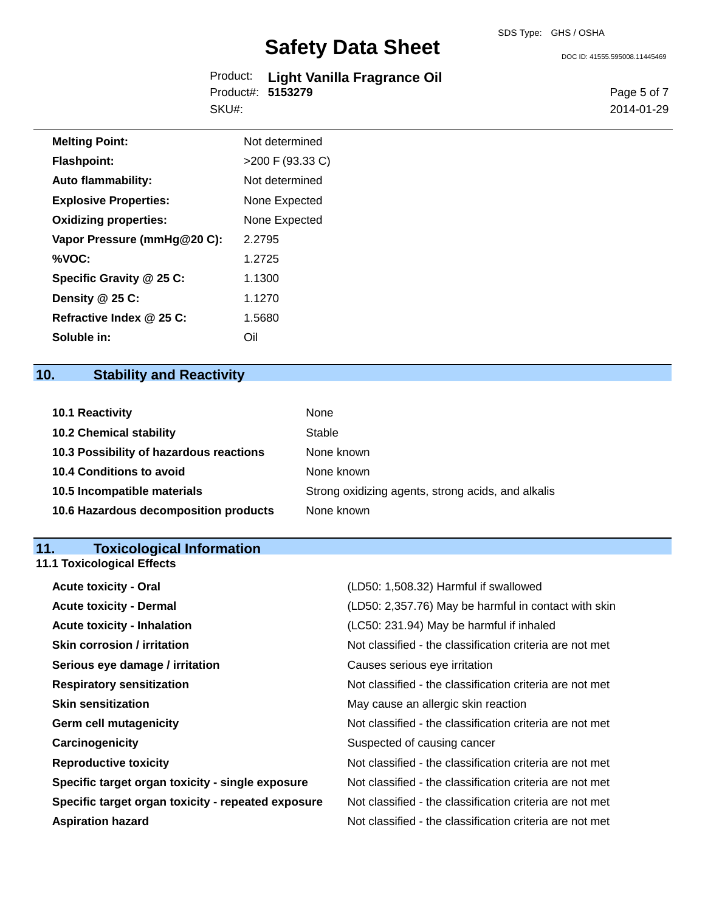Product: **Light Vanilla Fragrance Oil** Product#: **5153279** SKU#:

DOC ID: 41555.595008.11445469

Page 5 of 7 2014-01-29

| <b>Melting Point:</b>        | Not determined   |
|------------------------------|------------------|
| <b>Flashpoint:</b>           | >200 F (93.33 C) |
| <b>Auto flammability:</b>    | Not determined   |
| <b>Explosive Properties:</b> | None Expected    |
| <b>Oxidizing properties:</b> | None Expected    |
| Vapor Pressure (mmHg@20 C):  | 2.2795           |
| %VOC:                        | 1.2725           |
| Specific Gravity @ 25 C:     | 1.1300           |
| Density @ 25 C:              | 1.1270           |
| Refractive Index @ 25 C:     | 1.5680           |
| Soluble in:                  | Oil              |

## **10. Stability and Reactivity**

| 10.1 Reactivity                         | None                                               |
|-----------------------------------------|----------------------------------------------------|
| <b>10.2 Chemical stability</b>          | Stable                                             |
| 10.3 Possibility of hazardous reactions | None known                                         |
| <b>10.4 Conditions to avoid</b>         | None known                                         |
| 10.5 Incompatible materials             | Strong oxidizing agents, strong acids, and alkalis |
| 10.6 Hazardous decomposition products   | None known                                         |

## **11. Toxicological Information**

**11.1 Toxicological Effects**

| <b>Acute toxicity - Oral</b>                       | (LD50: 1,508.32) Harmful if swallowed                    |
|----------------------------------------------------|----------------------------------------------------------|
| <b>Acute toxicity - Dermal</b>                     | (LD50: 2,357.76) May be harmful in contact with skin     |
| <b>Acute toxicity - Inhalation</b>                 | (LC50: 231.94) May be harmful if inhaled                 |
| <b>Skin corrosion / irritation</b>                 | Not classified - the classification criteria are not met |
| Serious eye damage / irritation                    | Causes serious eye irritation                            |
| <b>Respiratory sensitization</b>                   | Not classified - the classification criteria are not met |
| <b>Skin sensitization</b>                          | May cause an allergic skin reaction                      |
| <b>Germ cell mutagenicity</b>                      | Not classified - the classification criteria are not met |
| Carcinogenicity                                    | Suspected of causing cancer                              |
| <b>Reproductive toxicity</b>                       | Not classified - the classification criteria are not met |
| Specific target organ toxicity - single exposure   | Not classified - the classification criteria are not met |
| Specific target organ toxicity - repeated exposure | Not classified - the classification criteria are not met |
| <b>Aspiration hazard</b>                           | Not classified - the classification criteria are not met |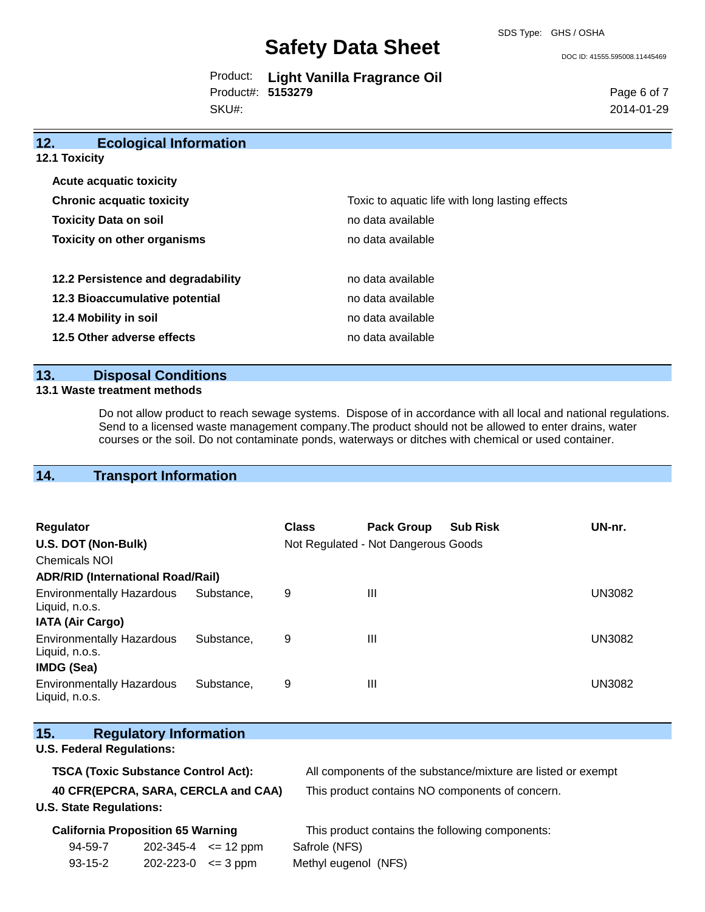|                   | Product: Light Vanilla Fragrance Oil |
|-------------------|--------------------------------------|
| Product#: 5153279 |                                      |
| SKU#:             |                                      |

Page 6 of 7 2014-01-29

| 12.<br><b>Ecological Information</b> |                                                 |
|--------------------------------------|-------------------------------------------------|
| <b>12.1 Toxicity</b>                 |                                                 |
| <b>Acute acquatic toxicity</b>       |                                                 |
| <b>Chronic acquatic toxicity</b>     | Toxic to aquatic life with long lasting effects |
| <b>Toxicity Data on soil</b>         | no data available                               |
| <b>Toxicity on other organisms</b>   | no data available                               |
|                                      |                                                 |
| 12.2 Persistence and degradability   | no data available                               |
| 12.3 Bioaccumulative potential       | no data available                               |
| 12.4 Mobility in soil                | no data available                               |
| 12.5 Other adverse effects           | no data available                               |

## **13. Disposal Conditions**

## **13.1 Waste treatment methods**

Do not allow product to reach sewage systems. Dispose of in accordance with all local and national regulations. Send to a licensed waste management company.The product should not be allowed to enter drains, water courses or the soil. Do not contaminate ponds, waterways or ditches with chemical or used container.

## **14. Transport Information**

| Regulator<br>U.S. DOT (Non-Bulk)<br>Chemicals NOI<br><b>ADR/RID (International Road/Rail)</b> |            | <b>Class</b> | <b>Pack Group</b><br>Not Regulated - Not Dangerous Goods | <b>Sub Risk</b> | UN-nr.        |
|-----------------------------------------------------------------------------------------------|------------|--------------|----------------------------------------------------------|-----------------|---------------|
| <b>Environmentally Hazardous</b><br>Liquid, n.o.s.                                            | Substance. | 9            | Ш                                                        |                 | <b>UN3082</b> |
| <b>IATA (Air Cargo)</b>                                                                       |            |              |                                                          |                 |               |
| <b>Environmentally Hazardous</b><br>Liquid, n.o.s.<br><b>IMDG (Sea)</b>                       | Substance. | 9            | Ш                                                        |                 | UN3082        |
| <b>Environmentally Hazardous</b><br>Liquid, n.o.s.                                            | Substance. | 9            | Ш                                                        |                 | UN3082        |

| 15.                                 |                                  | <b>Regulatory Information</b>              |                                                 |                                                              |
|-------------------------------------|----------------------------------|--------------------------------------------|-------------------------------------------------|--------------------------------------------------------------|
|                                     | <b>U.S. Federal Regulations:</b> |                                            |                                                 |                                                              |
|                                     |                                  | <b>TSCA (Toxic Substance Control Act):</b> |                                                 | All components of the substance/mixture are listed or exempt |
| 40 CFR(EPCRA, SARA, CERCLA and CAA) |                                  |                                            | This product contains NO components of concern. |                                                              |
|                                     | <b>U.S. State Regulations:</b>   |                                            |                                                 |                                                              |
|                                     |                                  | <b>California Proposition 65 Warning</b>   |                                                 | This product contains the following components:              |
|                                     | 94-59-7                          | 202-345-4                                  | $\epsilon$ = 12 ppm                             | Safrole (NFS)                                                |
|                                     | $93 - 15 - 2$                    | 202-223-0                                  | $\leq$ 3 ppm                                    | Methyl eugenol (NFS)                                         |